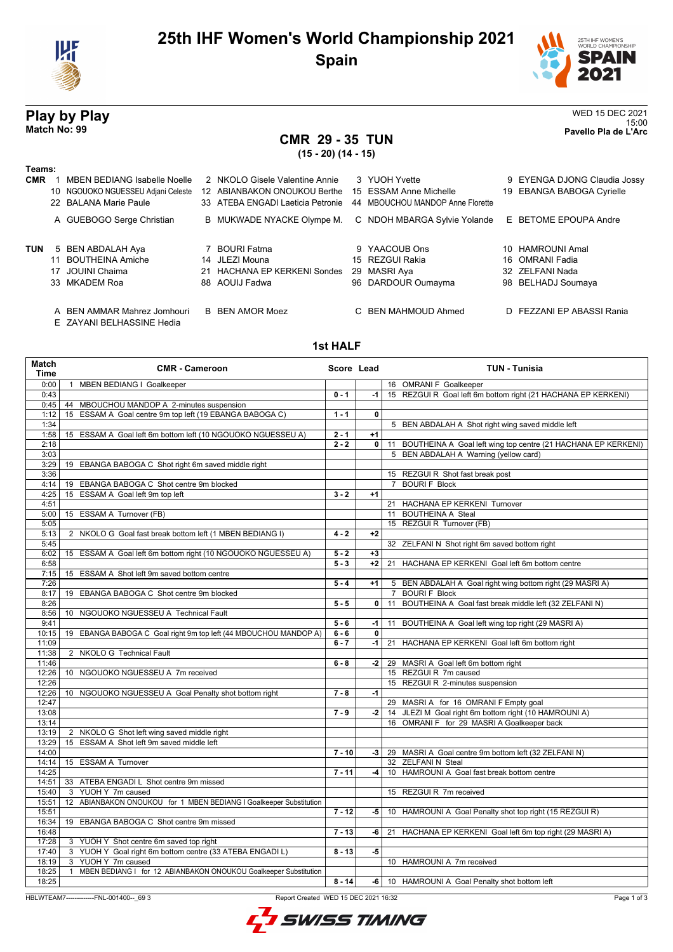

## **25th IHF Women's World Championship 2021 Spain**



# **SPAIN** 2021

15:00 **Match No: 99 Pavello Pla de L'Arc**

25TH IHF WOMEN'S<br>WORLD CHAMPIONSHIP

## **CMR 29 - 35 TUN**

**(15 - 20) (14 - 15)**

### **Teams:**

| <b>CMR</b> | <b>MBEN BEDIANG Isabelle Noelle</b><br>10 NGOUOKO NGUESSEU Adjani Celeste<br>22 BALANA Marie Paule | 2 NKOLO Gisele Valentine Annie<br>12 ABIANBAKON ONOUKOU Berthe<br>33 ATEBA ENGADI Laeticia Petronie | 3 YUOH Yvette<br>15 ESSAM Anne Michelle<br>44 MBOUCHOU MANDOP Anne Florette | 9 EYENGA DJONG Claudia Jossy<br>19 EBANGA BABOGA Cyrielle                    |
|------------|----------------------------------------------------------------------------------------------------|-----------------------------------------------------------------------------------------------------|-----------------------------------------------------------------------------|------------------------------------------------------------------------------|
|            | A GUEBOGO Serge Christian                                                                          | B MUKWADE NYACKE Olympe M.                                                                          | C NDOH MBARGA Sylvie Yolande                                                | E BETOME EPOUPA Andre                                                        |
| <b>TUN</b> | 5 BEN ABDALAH Aya<br>11 BOUTHEINA Amiche<br>17 JOUINI Chaima<br>33 MKADEM Roa                      | 7 BOURI Fatma<br>14 JLEZI Mouna<br>21 HACHANA EP KERKENI Sondes<br>88 AOUIJ Fadwa                   | 9 YAACOUB Ons<br>15 REZGUI Rakia<br>29 MASRI Aya<br>96 DARDOUR Oumayma      | 10 HAMROUNI Amal<br>16 OMRANI Fadia<br>32 ZELFANI Nada<br>98 BELHADJ Soumaya |
|            | A BEN AMMAR Mahrez Jomhouri                                                                        | <b>B</b> BEN AMOR Moez                                                                              | C BEN MAHMOUD Ahmed                                                         | D FEZZANI EP ABASSI Rania                                                    |

E ZAYANI BELHASSINE Hedia

### **1st HALF**

| Match<br>Time | <b>CMR - Cameroon</b>                                                            | Score Lead |              | <b>TUN - Tunisia</b>                                             |
|---------------|----------------------------------------------------------------------------------|------------|--------------|------------------------------------------------------------------|
| 0:00          | 1 MBEN BEDIANG I Goalkeeper                                                      |            |              | 16 OMRANI F Goalkeeper                                           |
| 0:43          |                                                                                  | $0 - 1$    | $-1$         | 15 REZGUI R Goal left 6m bottom right (21 HACHANA EP KERKENI)    |
| 0:45          | 44 MBOUCHOU MANDOP A 2-minutes suspension                                        |            |              |                                                                  |
| 1:12          | 15 ESSAM A Goal centre 9m top left (19 EBANGA BABOGA C)                          | $1 - 1$    | 0            |                                                                  |
| 1:34          |                                                                                  |            |              | 5 BEN ABDALAH A Shot right wing saved middle left                |
| 1:58          | 15 ESSAM A Goal left 6m bottom left (10 NGOUOKO NGUESSEU A)                      | $2 - 1$    | $+1$         |                                                                  |
| 2:18          |                                                                                  | $2 - 2$    | $\mathbf{0}$ | 11 BOUTHEINA A Goal left wing top centre (21 HACHANA EP KERKENI) |
| 3:03          |                                                                                  |            |              | 5 BEN ABDALAH A Warning (yellow card)                            |
| 3:29          | 19 EBANGA BABOGA C Shot right 6m saved middle right                              |            |              |                                                                  |
| 3:36          |                                                                                  |            |              | 15 REZGUI R Shot fast break post                                 |
| 4:14          | 19 EBANGA BABOGA C Shot centre 9m blocked                                        |            |              | 7 BOURI F Block                                                  |
| 4:25          | 15 ESSAM A Goal left 9m top left                                                 | $3 - 2$    | $+1$         |                                                                  |
| 4:51          |                                                                                  |            |              | 21 HACHANA EP KERKENI Turnover                                   |
| 5:00          | 15 ESSAM A Turnover (FB)                                                         |            |              | 11 BOUTHEINA A Steal                                             |
| 5:05          |                                                                                  |            |              | 15 REZGUI R Turnover (FB)                                        |
| 5:13          | 2 NKOLO G Goal fast break bottom left (1 MBEN BEDIANG I)                         | $4 - 2$    | $+2$         |                                                                  |
| 5:45          |                                                                                  |            |              | 32 ZELFANI N Shot right 6m saved bottom right                    |
| 6:02          | 15 ESSAM A Goal left 6m bottom right (10 NGOUOKO NGUESSEU A)                     | $5 - 2$    | $+3$         |                                                                  |
| 6:58          |                                                                                  | $5 - 3$    | $+2$         | 21 HACHANA EP KERKENI Goal left 6m bottom centre                 |
| 7:15          | 15 ESSAM A Shot left 9m saved bottom centre                                      |            |              |                                                                  |
| 7:26          |                                                                                  | $5 - 4$    | $+1$         | 5 BEN ABDALAH A Goal right wing bottom right (29 MASRI A)        |
| 8:17          | 19 EBANGA BABOGA C Shot centre 9m blocked                                        |            |              | <b>BOURIF Block</b><br>$7^{\circ}$                               |
| 8:26          |                                                                                  | $5 - 5$    | $\mathbf{0}$ | 11 BOUTHEINA A Goal fast break middle left (32 ZELFANI N)        |
| 8:56          | 10 NGOUOKO NGUESSEU A Technical Fault                                            |            |              |                                                                  |
| 9:41          |                                                                                  | $5 - 6$    | -1           | 11 BOUTHEINA A Goal left wing top right (29 MASRI A)             |
| 10:15         | 19 EBANGA BABOGA C Goal right 9m top left (44 MBOUCHOU MANDOP A)                 | $6 - 6$    | $\mathbf 0$  |                                                                  |
| 11:09         |                                                                                  | $6 - 7$    | $-1$         | 21 HACHANA EP KERKENI Goal left 6m bottom right                  |
| 11:38         | 2 NKOLO G Technical Fault                                                        |            |              |                                                                  |
| 11:46         |                                                                                  | $6 - 8$    | $-2$         | 29 MASRI A Goal left 6m bottom right                             |
| 12:26         | 10 NGOUOKO NGUESSEU A 7m received                                                |            |              | 15 REZGUI R 7m caused                                            |
| 12:26         |                                                                                  |            |              | 15 REZGUI R 2-minutes suspension                                 |
| 12:26         | 10 NGOUOKO NGUESSEU A Goal Penalty shot bottom right                             | $7 - 8$    | $-1$         |                                                                  |
| 12:47         |                                                                                  |            |              | 29 MASRI A for 16 OMRANI F Empty goal                            |
| 13:08         |                                                                                  | $7 - 9$    | $-2$         | 14 JLEZI M Goal right 6m bottom right (10 HAMROUNI A)            |
| 13:14         |                                                                                  |            |              | 16 OMRANI F for 29 MASRI A Goalkeeper back                       |
| 13:19         | 2 NKOLO G Shot left wing saved middle right                                      |            |              |                                                                  |
| 13:29         | 15 ESSAM A Shot left 9m saved middle left                                        |            |              |                                                                  |
| 14:00         |                                                                                  | $7 - 10$   | -3 I         | 29 MASRI A Goal centre 9m bottom left (32 ZELFANI N)             |
| 14:14         | 15 ESSAM A Turnover                                                              |            |              | 32 ZELFANIN Steal                                                |
| 14:25         |                                                                                  | $7 - 11$   | -4 l         | 10 HAMROUNI A Goal fast break bottom centre                      |
| 14:51         | 33 ATEBA ENGADI L Shot centre 9m missed                                          |            |              |                                                                  |
| 15:40         | 3 YUOH Y 7m caused                                                               |            |              | 15 REZGUI R 7m received                                          |
| 15:51         | 12 ABIANBAKON ONOUKOU for 1 MBEN BEDIANG I Goalkeeper Substitution               |            |              |                                                                  |
| 15:51         |                                                                                  | $7 - 12$   | -5           | 10 HAMROUNI A Goal Penalty shot top right (15 REZGUI R)          |
| 16:34         | 19 EBANGA BABOGA C Shot centre 9m missed                                         |            |              |                                                                  |
| 16:48         |                                                                                  | $7 - 13$   | -6           | 21 HACHANA EP KERKENI Goal left 6m top right (29 MASRI A)        |
| 17:28         | 3 YUOH Y Shot centre 6m saved top right                                          |            |              |                                                                  |
| 17:40         | 3 YUOH Y Goal right 6m bottom centre (33 ATEBA ENGADI L)                         | $8 - 13$   | -5           |                                                                  |
| 18:19         | 3 YUOH Y 7m caused                                                               |            |              | 10 HAMROUNI A 7m received                                        |
| 18:25         | MBEN BEDIANG I for 12 ABIANBAKON ONOUKOU Goalkeeper Substitution<br>$\mathbf{1}$ |            |              |                                                                  |
| 18:25         |                                                                                  | $8 - 14$   |              | -6   10 HAMROUNI A Goal Penalty shot bottom left                 |
|               |                                                                                  |            |              |                                                                  |

HBLWTEAM7-------------FNL-001400--\_69 3 Report Created WED 15 DEC 2021 16:32

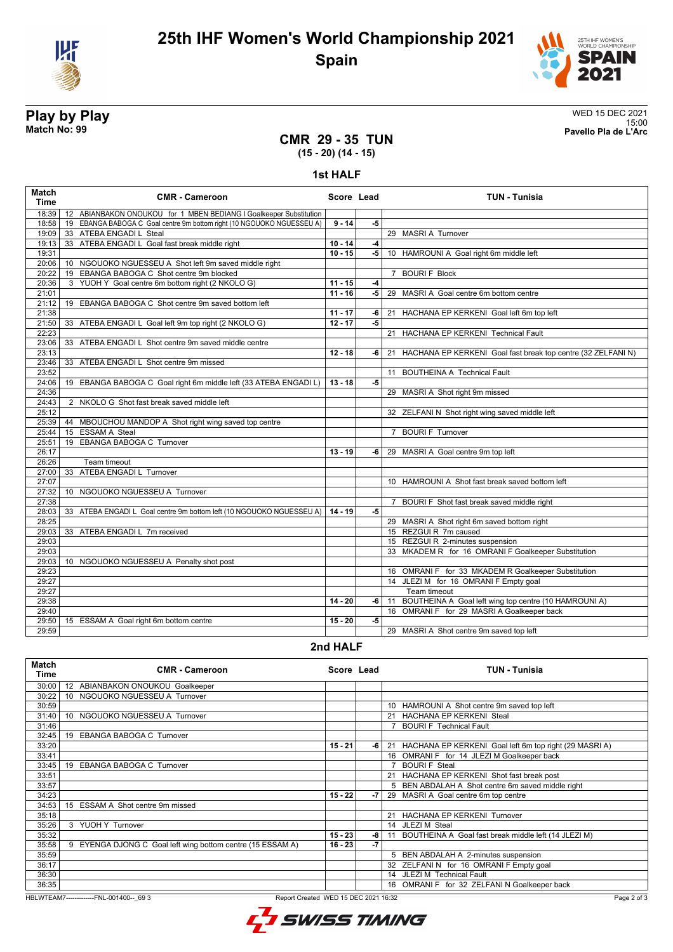



**Play by Play**<br>Match No: 99<br>Pavello Pla de L'Arc 15:00 **Match No: 99 Pavello Pla de L'Arc**

### **CMR 29 - 35 TUN (15 - 20) (14 - 15)**

**1st HALF**

| <b>Match</b><br><b>Time</b> | <b>CMR - Cameroon</b>                                                          | Score Lead |      | <b>TUN - Tunisia</b>                                                 |
|-----------------------------|--------------------------------------------------------------------------------|------------|------|----------------------------------------------------------------------|
| 18:39                       | 12 ABIANBAKON ONOUKOU for 1 MBEN BEDIANG I Goalkeeper Substitution             |            |      |                                                                      |
| 18:58                       | 19 EBANGA BABOGA C Goal centre 9m bottom right (10 NGOUOKO NGUESSEU A)         | $9 - 14$   | -5   |                                                                      |
| 19:09                       | 33 ATEBA ENGADI L Steal                                                        |            |      | 29 MASRI A Turnover                                                  |
| 19:13                       | 33 ATEBA ENGADI L Goal fast break middle right                                 | $10 - 14$  | $-4$ |                                                                      |
| 19:31                       |                                                                                | $10 - 15$  | $-5$ | 10 HAMROUNI A Goal right 6m middle left                              |
| 20:06                       | 10 NGOUOKO NGUESSEU A Shot left 9m saved middle right                          |            |      |                                                                      |
| 20:22                       | 19 EBANGA BABOGA C Shot centre 9m blocked                                      |            |      | 7 BOURIF Block                                                       |
| 20:36                       | 3 YUOH Y Goal centre 6m bottom right (2 NKOLO G)                               | $11 - 15$  | $-4$ |                                                                      |
| 21:01                       |                                                                                | $11 - 16$  | -5   | 29 MASRI A Goal centre 6m bottom centre                              |
| 21:12                       | 19 EBANGA BABOGA C Shot centre 9m saved bottom left                            |            |      |                                                                      |
| 21:38                       |                                                                                | $11 - 17$  | -6   | 21 HACHANA EP KERKENI Goal left 6m top left                          |
| 21:50                       | 33 ATEBA ENGADI L Goal left 9m top right (2 NKOLO G)                           | $12 - 17$  | $-5$ |                                                                      |
| 22:23                       |                                                                                |            |      | 21 HACHANA EP KERKENI Technical Fault                                |
| 23:06                       | 33 ATEBA ENGADI L Shot centre 9m saved middle centre                           |            |      |                                                                      |
| 23:13                       |                                                                                | $12 - 18$  | -6   | 21 HACHANA EP KERKENI Goal fast break top centre (32 ZELFANI N)      |
| 23:46                       | 33 ATEBA ENGADI L Shot centre 9m missed                                        |            |      |                                                                      |
| 23:52                       |                                                                                |            |      | 11 BOUTHEINA A Technical Fault                                       |
| 24:06                       | 19 EBANGA BABOGA C Goal right 6m middle left (33 ATEBA ENGADI L)               | $13 - 18$  | $-5$ |                                                                      |
| 24:36                       |                                                                                |            |      | 29 MASRI A Shot right 9m missed                                      |
| 24:43                       | 2 NKOLO G Shot fast break saved middle left                                    |            |      |                                                                      |
| 25:12                       |                                                                                |            |      | 32 ZELFANI N Shot right wing saved middle left                       |
| 25:39                       | 44 MBOUCHOU MANDOP A Shot right wing saved top centre                          |            |      |                                                                      |
| 25:44                       | 15 ESSAM A Steal                                                               |            |      | 7 BOURI F Turnover                                                   |
| 25:51                       | 19 EBANGA BABOGA C Turnover                                                    |            |      |                                                                      |
| 26:17                       |                                                                                | $13 - 19$  | -6   | 29 MASRI A Goal centre 9m top left                                   |
| 26:26                       | Team timeout                                                                   |            |      |                                                                      |
| 27:00                       | 33 ATEBA ENGADI L Turnover                                                     |            |      |                                                                      |
| 27:07                       |                                                                                |            |      | 10 HAMROUNI A Shot fast break saved bottom left                      |
| 27:32                       | 10 NGOUOKO NGUESSEU A Turnover                                                 |            |      |                                                                      |
| 27:38                       |                                                                                |            | $-5$ | 7 BOURI F Shot fast break saved middle right                         |
| 28:03<br>28:25              | 33 ATEBA ENGADI L Goal centre 9m bottom left (10 NGOUOKO NGUESSEU A)   14 - 19 |            |      |                                                                      |
| 29:03                       | 33 ATEBA ENGADI L 7m received                                                  |            |      | 29 MASRI A Shot right 6m saved bottom right<br>15 REZGUI R 7m caused |
| 29:03                       |                                                                                |            |      | 15 REZGUI R 2-minutes suspension                                     |
| 29:03                       |                                                                                |            |      |                                                                      |
|                             |                                                                                |            |      | 33 MKADEM R for 16 OMRANI F Goalkeeper Substitution                  |
| 29:03<br>29:23              | 10 NGOUOKO NGUESSEU A Penalty shot post                                        |            |      | 16 OMRANI F for 33 MKADEM R Goalkeeper Substitution                  |
| 29:27                       |                                                                                |            |      | 14 JLEZI M for 16 OMRANI F Empty goal                                |
| 29:27                       |                                                                                |            |      | Team timeout                                                         |
| 29:38                       |                                                                                | $14 - 20$  | -6   | 11 BOUTHEINA A Goal left wing top centre (10 HAMROUNI A)             |
| 29:40                       |                                                                                |            |      | 16 OMRANI F for 29 MASRI A Goalkeeper back                           |
| 29:50                       | 15 ESSAM A Goal right 6m bottom centre                                         | $15 - 20$  | -5   |                                                                      |
| 29:59                       |                                                                                |            |      | 29 MASRI A Shot centre 9m saved top left                             |
|                             |                                                                                |            |      |                                                                      |

### **2nd HALF**

| Match<br>Time | <b>CMR - Cameroon</b>                                      | Score Lead |      | TUN - Tunisia                                              |
|---------------|------------------------------------------------------------|------------|------|------------------------------------------------------------|
| 30:00         | ABIANBAKON ONOUKOU Goalkeeper<br>12                        |            |      |                                                            |
| 30:22         | 10 NGOUOKO NGUESSEU A Turnover                             |            |      |                                                            |
| 30:59         |                                                            |            |      | 10 HAMROUNI A Shot centre 9m saved top left                |
| 31:40         | NGOUOKO NGUESSEU A Turnover<br>10 <sup>1</sup>             |            |      | 21 HACHANA EP KERKENI Steal                                |
| 31:46         |                                                            |            |      | <b>BOURI F</b> Technical Fault                             |
| 32:45         | EBANGA BABOGA C Turnover<br>19                             |            |      |                                                            |
| 33:20         |                                                            | $15 - 21$  | -6   | 21 HACHANA EP KERKENI Goal left 6m top right (29 MASRI A)  |
| 33:41         |                                                            |            |      | 16 OMRANI F for 14 JLEZI M Goalkeeper back                 |
| 33:45         | EBANGA BABOGA C Turnover<br>19                             |            |      | <b>BOURIF</b> Steal                                        |
| 33:51         |                                                            |            |      | 21 HACHANA EP KERKENI Shot fast break post                 |
| 33:57         |                                                            |            |      | BEN ABDALAH A Shot centre 6m saved middle right<br>5.      |
| 34:23         |                                                            | $15 - 22$  | $-7$ | 29 MASRI A Goal centre 6m top centre                       |
| 34:53         | ESSAM A Shot centre 9m missed<br>15                        |            |      |                                                            |
| 35:18         |                                                            |            |      | 21 HACHANA EP KERKENI Turnover                             |
| 35:26         | 3 YUOH Y Turnover                                          |            |      | 14 JLEZI M Steal                                           |
| 35:32         |                                                            | 15 - 23    | -8   | BOUTHEINA A Goal fast break middle left (14 JLEZI M)<br>11 |
| 35:58         | 9 EYENGA DJONG C Goal left wing bottom centre (15 ESSAM A) | 16 - 23    | -7   |                                                            |
| 35:59         |                                                            |            |      | 5 BEN ABDALAH A 2-minutes suspension                       |
| 36:17         |                                                            |            |      | 32 ZELFANIN for 16 OMRANIF Empty goal                      |
| 36:30         |                                                            |            |      | 14 JLEZI M Technical Fault                                 |
| 36:35         |                                                            |            |      | 16 OMRANI F for 32 ZELFANI N Goalkeeper back               |

HBLWTEAM7-------------FNL-001400--\_69 3 Report Created WED 15 DEC 2021 16:32